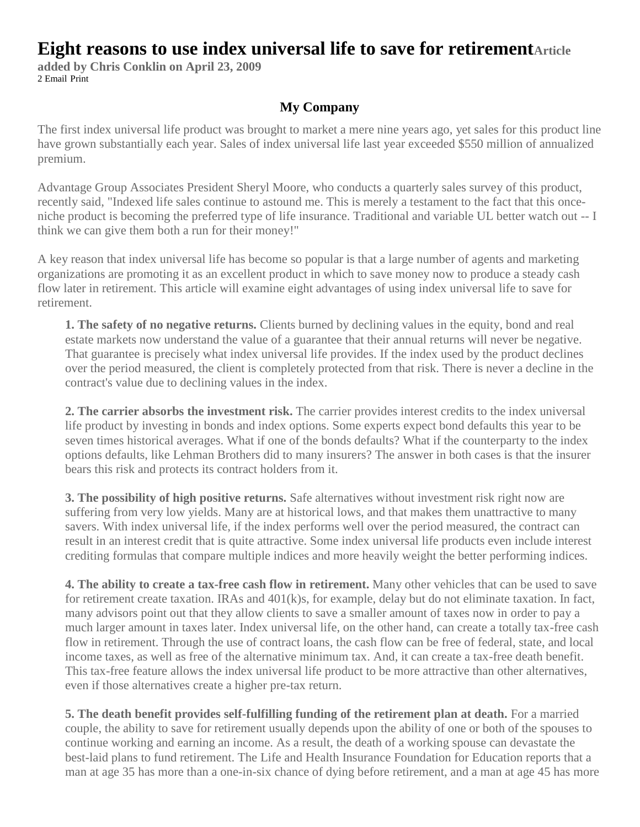## **Eight reasons to use index universal life to save for retirementArticle**

**added by Chris Conklin on April 23, 2009** [2 Email](http://www.producersweb.com/r/IIG/d/contentFocus/?pcID=041255ce6c36fbf49d59eec1d69d6426#displayComments) [Print](http://www.producersweb.com/r/IIG/d/printFocus/?pcID=041255ce6c36fbf49d59eec1d69d6426)

## **My Company**

The first index universal life product was brought to market a mere nine years ago, yet sales for this product line have grown substantially each year. Sales of index universal life last year exceeded \$550 million of annualized premium.

Advantage Group Associates President Sheryl Moore, who conducts a quarterly sales survey of this product, recently said, "Indexed life sales continue to astound me. This is merely a testament to the fact that this onceniche product is becoming the preferred type of life insurance. Traditional and variable UL better watch out -- I think we can give them both a run for their money!"

A key reason that index universal life has become so popular is that a large number of agents and marketing organizations are promoting it as an excellent product in which to save money now to produce a steady cash flow later in retirement. This article will examine eight advantages of using index universal life to save for retirement.

**1. The safety of no negative returns.** Clients burned by declining values in the equity, bond and real estate markets now understand the value of a guarantee that their annual returns will never be negative. That guarantee is precisely what index universal life provides. If the index used by the product declines over the period measured, the client is completely protected from that risk. There is never a decline in the contract's value due to declining values in the index.

**2. The carrier absorbs the investment risk.** The carrier provides interest credits to the index universal life product by investing in bonds and index options. Some experts expect bond defaults this year to be seven times historical averages. What if one of the bonds defaults? What if the counterparty to the index options defaults, like Lehman Brothers did to many insurers? The answer in both cases is that the insurer bears this risk and protects its contract holders from it.

**3. The possibility of high positive returns.** Safe alternatives without investment risk right now are suffering from very low yields. Many are at historical lows, and that makes them unattractive to many savers. With index universal life, if the index performs well over the period measured, the contract can result in an interest credit that is quite attractive. Some index universal life products even include interest crediting formulas that compare multiple indices and more heavily weight the better performing indices.

**4. The ability to create a tax-free cash flow in retirement.** Many other vehicles that can be used to save for retirement create taxation. IRAs and 401(k)s, for example, delay but do not eliminate taxation. In fact, many advisors point out that they allow clients to save a smaller amount of taxes now in order to pay a much larger amount in taxes later. Index universal life, on the other hand, can create a totally tax-free cash flow in retirement. Through the use of contract loans, the cash flow can be free of federal, state, and local income taxes, as well as free of the alternative minimum tax. And, it can create a tax-free death benefit. This tax-free feature allows the index universal life product to be more attractive than other alternatives, even if those alternatives create a higher pre-tax return.

**5. The death benefit provides self-fulfilling funding of the retirement plan at death.** For a married couple, the ability to save for retirement usually depends upon the ability of one or both of the spouses to continue working and earning an income. As a result, the death of a working spouse can devastate the best-laid plans to fund retirement. The Life and Health Insurance Foundation for Education reports that a man at age 35 has more than a one-in-six chance of dying before retirement, and a man at age 45 has more